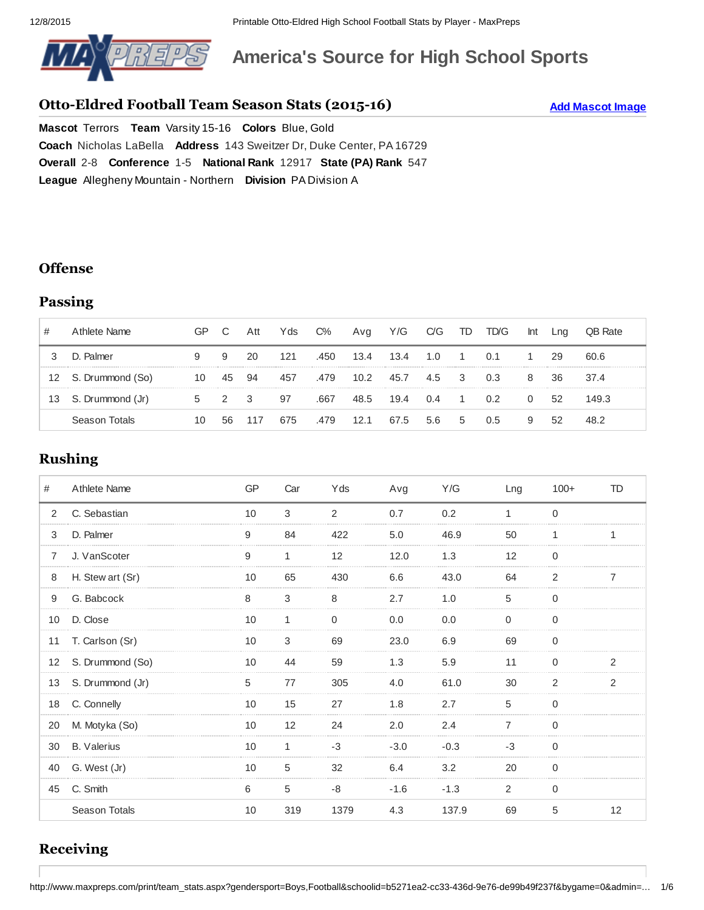

# **America's Source for High School Sports**

### **Otto-Eldred Football Team Season Stats (2015-16)**

**Add Mascot Image**

**Mascot Terrors Team Varsity 15-16 Colors Blue, Gold Coach** [Nicholas](http://www.maxpreps.com/local/team/records/coaches.aspx?gendersport=boys,football&schoolid=b5271ea2-cc33-436d-9e76-de99b49f237f) LaBella **Address** 143 [Sweitzer](http://www.maxpreps.com/high-schools/otto-eldred-terrors-(duke-center,pa)/map.htm) Dr, Duke Center, PA 16729 **Overall** 2-8 **Conference** 1-5 **National Rank** [12917](http://www.maxpreps.com/high-schools/otto-eldred-terrors-(duke-center,pa)/football/rankings.htm#national_rankings) **State (PA) Rank** [547](http://www.maxpreps.com/high-schools/otto-eldred-terrors-(duke-center,pa)/football/rankings.htm#state_rankings) **League** Allegheny Mountain Northern **Division** PA Division A

#### **Offense**

### **Passing**

|    | Athlete Name     | GP | C              | Att | Yds | $C\%$ | Avg  | Y/G  | C/G | TD             | TD/G           | Int | ∟ng | <b>OB Rate</b> |
|----|------------------|----|----------------|-----|-----|-------|------|------|-----|----------------|----------------|-----|-----|----------------|
|    | D. Palmer        | 9  | 9              | 20  | 121 | .450  | 13.4 | 13.4 | 1.O | $\overline{1}$ | 0.1            |     | 29  | 60.6           |
| 12 | S. Drummond (So) | 10 | 45             | 94  | 457 | .479  | 10.2 | 45.7 | 4.5 | 3              | 0.3            | 8   | 36. | 37.4           |
| 13 | S. Drummond (Jr) | 5  | $\overline{2}$ | - 3 | 97  | .667  | 48.5 | 19.4 | 0.4 |                | 0 <sup>2</sup> | 0   | 52  | 149.3          |
|    | Season Totals    | 10 | 56             | 117 | 675 | .479  | 12.1 | 67.5 | 5.6 | 5              | 0.5            | 9   | .52 | 48.2           |

### **Rushing**

| #              | Athlete Name       | GP | Car | Yds  | Avg    | Y/G    | Lng          | $100+$         | <b>TD</b>      |
|----------------|--------------------|----|-----|------|--------|--------|--------------|----------------|----------------|
| $\overline{2}$ | C. Sebastian       | 10 | 3   | 2    | 0.7    | 0.2    | $\mathbf{1}$ | $\Omega$       |                |
| 3              | D. Palmer          | 9  | 84  | 422  | 5.0    | 46.9   | 50           | 1              | 1              |
| $\overline{7}$ | J. VanScoter       | 9  |     | 12   | 12.0   | 1.3    | 12           | 0              |                |
| 8              | H. Stew art (Sr)   | 10 | 65  | 430  | 6.6    | 43.0   | 64           | 2              |                |
| 9              | G. Babcock         | 8  | 3   | 8    | 2.7    | 1.0    | 5            | $\Omega$       |                |
| 10             | D. Close           | 10 | 1   | 0    | 0.0    | 0.0    | <sup>0</sup> | $\Omega$       |                |
| 11             | T. Carlson (Sr)    | 10 | 3   | 69   | 23.0   | 6.9    | 69           | 0              |                |
| 12             | S. Drummond (So)   | 10 | 44  | 59   | 1.3    | 5.9    | 11           | $\Omega$       | 2              |
| 13             | S. Drummond (Jr)   | 5  | 77  | 305  | 4.0    | 61.0   | 30           | $\mathfrak{p}$ | $\mathfrak{p}$ |
| 18             | C. Connelly        | 10 | 15  | 27   | 1.8    | 2.7    | 5            | 0              |                |
| 20             | M. Motyka (So)     | 10 | 12  | 24   | 2.0    | 2.4    |              | $\Omega$       |                |
| 30             | <b>B.</b> Valerius | 10 | 1   | $-3$ | $-3.0$ | $-0.3$ | $-3$         | $\Omega$       |                |
| 40             | G. West (Jr)       | 10 | 5   | 32   | 6.4    | 3.2    | 20           | 0              |                |
| 45             | C. Smith           | 6  | 5   | -8   | $-1.6$ | $-1.3$ | 2            | $\Omega$       |                |
|                | Season Totals      | 10 | 319 | 1379 | 4.3    | 137.9  | 69           | 5              | 12             |

### **Receiving**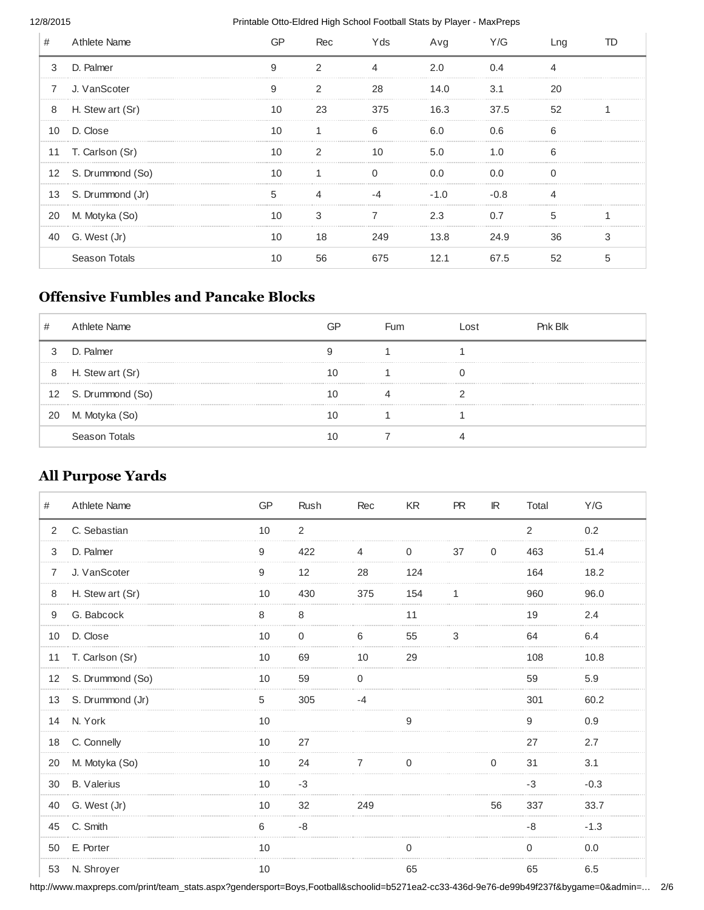#### 12/8/2015 Printable Otto-Eldred High School Football Stats by Player - MaxPreps

| #              | Athlete Name        |    | Rec           | Y ds | Avg           | Y/G  |    |  |
|----------------|---------------------|----|---------------|------|---------------|------|----|--|
| 3              | D. Palmer           | 9  | $\mathcal{P}$ |      | 2.0           | N 4  |    |  |
| $\overline{7}$ | J. VanScoter        | 9  |               | 28   | 14.0          | 3.1  | 20 |  |
| 8              | H. Stew art (Sr)    | 10 | 23            | 375  | 16.3 37.5     |      | 52 |  |
| 10             | D. Close            | 10 |               | 6    | 6.0           | 0 G  | ี  |  |
|                | 11 T. Carlson (Sr)  | 10 |               | 10   | 5.0           | 1 በ  |    |  |
|                | 12 S. Drummond (So) | 10 |               |      | 0.0           | 0.0  |    |  |
|                | 13 S. Drummond (Jr) | 5  |               |      | $-1$ $\Omega$ | -በ ጸ |    |  |
| 20             | M. Motyka (So)      | 10 |               |      | 2.3           |      | 5  |  |
| 40             | G. West (Jr)        | 10 | 18            | 249  | 13.8          | 24.9 | 36 |  |
|                | Season Totals       | 10 | 56            | 675  |               | 67.5 | 52 |  |

### **Offensive Fumbles and Pancake Blocks**

| # | Athlete Name        | GP | <b>Fum</b> | ∟ost | Pnk Blk |
|---|---------------------|----|------------|------|---------|
| 3 | D. Palmer           |    |            |      |         |
| 8 | H. Stew art (Sr)    |    |            |      |         |
|   | 12 S. Drummond (So) |    |            |      |         |
|   | 20 M. Motyka (So)   |    |            |      |         |
|   | Season Totals       |    |            |      |         |

### **All Purpose Yards**

| #  | Athlete Name        | <b>GP</b> | Rush           | Rec         | KR       | PR | IR.      | Total    | Y/G    |
|----|---------------------|-----------|----------------|-------------|----------|----|----------|----------|--------|
| 2  | C. Sebastian        | 10        | $\overline{2}$ |             |          |    |          | 2        | 0.2    |
| 3  | D. Palmer           | 9         | 422            | 4           | $\Omega$ | 37 | $\Omega$ | 463      | 51.4   |
| 7  | J. VanScoter        | 9         | 12             | 28          | 124      |    |          | 164      | 18.2   |
| 8  | H. Stew art (Sr)    | 10        | 430            | 375         | 154      | 1  |          | 960      | 96.0   |
| 9  | G. Babcock          | 8         | 8              |             | 11       |    |          | 19       | 2.4    |
| 10 | D. Close            | 10        | 0              | 6           | 55       | 3  |          | 64       | 6.4    |
| 11 | T. Carlson (Sr)     | 10        | 69             | 10          | 29       |    |          | 108      | 10.8   |
|    | 12 S. Drummond (So) | 10        | 59             | $\mathbf 0$ |          |    |          | 59       | 5.9    |
|    | 13 S. Drummond (Jr) | 5         | 305            | $-4$        |          |    |          | 301      | 60.2   |
| 14 | N. York             | 10        |                |             | 9        |    |          | 9        | 0.9    |
| 18 | C. Connelly         | 10        | 27             |             |          |    |          | 27       | 2.7    |
| 20 | M. Motyka (So)      | 10        | 24             | 7           | $\Omega$ |    | U        | 31       | 3.1    |
| 30 | <b>B.</b> Valerius  | 10        | $-3$           |             |          |    |          | $-3$     | $-0.3$ |
| 40 | G. West (Jr)        | 10        | 32             | 249         |          |    | 56       | 337      | 33.7   |
| 45 | C. Smith            | 6         | -8             |             |          |    |          | $-8$     | $-1.3$ |
| 50 | E. Porter           | 10        |                |             | $\Omega$ |    |          | $\Omega$ | 0.0    |
| 53 | N. Shroyer          | 10        |                |             | 65       |    |          | 65       | 6.5    |

http://www.maxpreps.com/print/team\_stats.aspx?gendersport=Boys,Football&schoolid=b5271ea2-cc33-436d-9e76-de99b49f237f&bygame=0&admin=... 2/6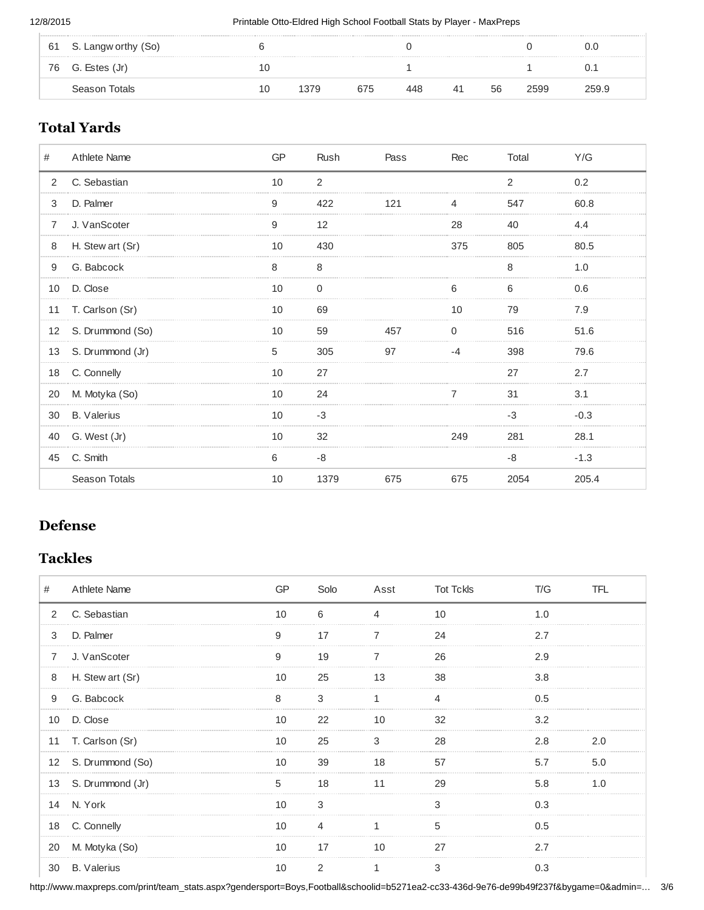| 61 S. Langw orthy (So) |    |      |     |     |     |    |      | U.U   |
|------------------------|----|------|-----|-----|-----|----|------|-------|
| 76 G. Estes (Jr)       | Τſ |      |     |     |     |    |      |       |
| Season Totals          | 10 | 1379 | 675 | 448 | -41 | 56 | 2599 | 259.9 |

### **Total Yards**

| #  | Athlete Name       | <b>GP</b> | Rush | Pass | Rec | Total          | Y/G    |
|----|--------------------|-----------|------|------|-----|----------------|--------|
| 2  | C. Sebastian       | 10        | 2    |      |     | $\overline{2}$ | 0.2    |
| 3  | D. Palmer          | 9         | 422  | 121  | 4   | 547            | 60.8   |
| 7  | J. VanScoter       | 9         | 12   |      | 28  | 40             | 4.4    |
| 8  | H. Stew art (Sr)   | 10        | 430  |      | 375 | 805            | 80.5   |
| 9  | G. Babcock         | 8         | 8    |      |     | 8              | 1.0    |
| 10 | D. Close           | 10        |      |      | 6   | h              | 0.6    |
|    | 11 T. Carlson (Sr) | 10        | 69   |      | 10  | 79             | 7.9    |
| 12 | S. Drummond (So)   | 10        | 59   | 457  | 0   | 516            | 51.6   |
| 13 | S. Drummond (Jr)   | 5         | 305  | 97   | -4  | 398            | 79.6   |
|    | 18 C. Connelly     | 10        | 27   |      |     | 27             | 2.7    |
| 20 | M. Motyka (So)     | 10        | 24   |      |     | 31             | 3.1    |
| 30 | <b>B.</b> Valerius | 10        | $-3$ |      |     | -3             | $-0.3$ |
| 40 | G. West (Jr)       | 10        | 32   |      | 249 | 281            | 28.1   |
| 45 | C. Smith           | 6         | -8   |      |     | -8             | $-1.3$ |
|    | Season Totals      | 10        | 1379 | 675  | 675 | 2054           | 205.4  |

### **Defense**

### **Tackles**

| #              | <b>Athlete Name</b> |    | Solo | Asst Tot Tckls |    | T/G        | TFL |
|----------------|---------------------|----|------|----------------|----|------------|-----|
| 2              | C. Sebastian        | 10 | 6    |                | 10 | $1 \Omega$ |     |
| 3              | D. Palmer           | 9  | 17   |                | 24 | 2.7        |     |
| $\overline{7}$ | J. VanScoter        | 9  | 19   |                | 26 | 2.9        |     |
| 8              | H. Stew art (Sr)    | 10 | 25   | 13             | 38 | 3.8        |     |
| 9              | G. Babcock          | 8  | 3    |                |    | 0.5        |     |
| 10             | D. Close            | 10 | 22   | 10             | 32 | 3.2        |     |
| 11             | T. Carlson (Sr)     | 10 | 25   | 3              | 28 | 2.8        | 2.0 |
|                | 12 S. Drummond (So) | 10 | 39   | 18             | 57 | 5.7        | 5.0 |
|                | 13 S. Drummond (Jr) | 5  | 18   | 11             | 29 | 5.8        | 1.0 |
| 14             | N. York             | 10 |      |                |    | በ 3        |     |
| 18             | C. Connelly         | 10 |      |                | 5  | 0.5        |     |
| 20             | M. Motyka (So)      | 10 | 17   | 10             | 27 | 2.7        |     |
| 30             | <b>B.</b> Valerius  | 10 |      |                |    |            |     |

http://www.maxpreps.com/print/team\_stats.aspx?gendersport=Boys,Football&schoolid=b5271ea2-cc33-436d-9e76-de99b49f237f&bygame=0&admin=... 3/6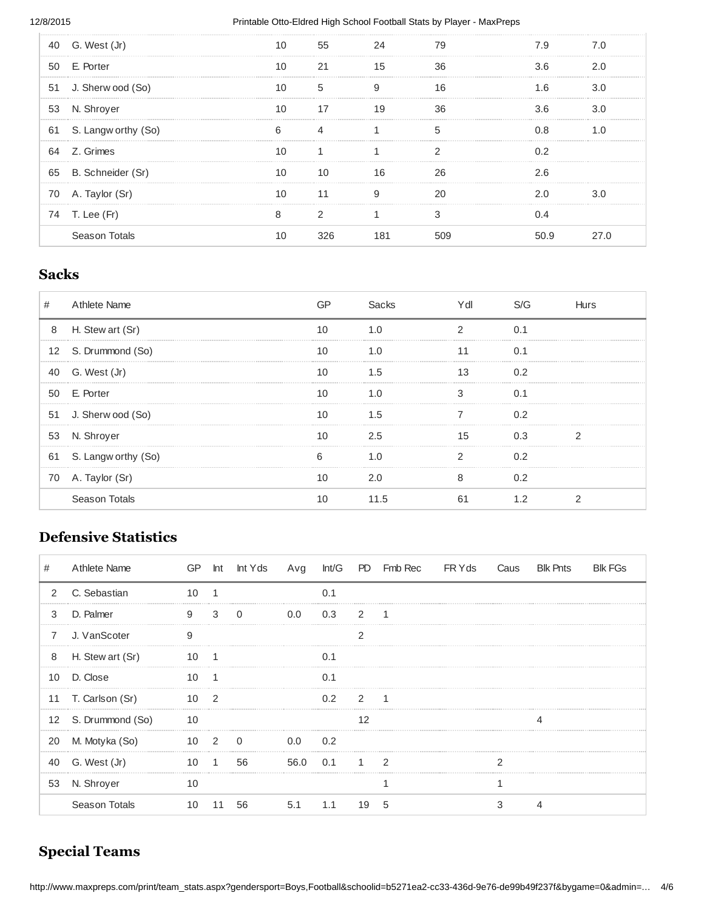#### 12/8/2015 **Printable Otto-Eldred High School Football Stats by Player - MaxPreps**

| 40 | G. West (Jr)         | 10 | 55 |    | 79 |     |  |
|----|----------------------|----|----|----|----|-----|--|
| 50 | E. Porter            |    | 21 |    | 36 | 3 6 |  |
|    | 51 J. Sherw ood (So) |    | 5  | 9  | 16 | 1 ក |  |
|    | 53 N. Shroyer        | 10 | 17 | 19 | 36 | 3.6 |  |
| 61 | S. Langw orthy (So)  | 6  |    |    | 5  |     |  |
| 64 | Z. Grimes            |    |    |    |    |     |  |
| 65 | B. Schneider (Sr)    |    | 10 |    | 26 | 2.6 |  |
|    | 70 A. Taylor (Sr)    | 10 | 11 | 9  | 20 |     |  |
|    | 74 T. Lee (Fr)       | 8  |    |    |    |     |  |
|    | Season Totals        |    |    |    |    | ი   |  |
|    |                      |    |    |    |    |     |  |

### **Sacks**

| #  | Athlete Name         |    | Sacks   | /dl | S/G | Hurs |
|----|----------------------|----|---------|-----|-----|------|
| 8  | H. Stew art (Sr)     | 10 | 1.0     |     | 0 1 |      |
|    | 12 S. Drummond (So)  |    | 1.0     |     | በ 1 |      |
|    | 40 G. West (Jr)      |    | $1.5\,$ |     | 0.2 |      |
|    | 50 E. Porter         |    |         |     |     |      |
|    | 51 J. Sherw ood (So) |    | 1.5     |     | 0 2 |      |
|    | 53 N. Shroyer        | 10 | 2.5     | 15  | 0.3 |      |
| 61 | S. Langw orthy (So)  |    |         |     | በ 2 |      |
| 70 | A. Taylor (Sr)       |    | 2.0     |     | 0.2 |      |
|    | Season Totals        |    |         |     |     |      |

### **Defensive Statistics**

| #              | Athlete Name     | GP |               | Int Int Yds |      |                |                         | Avg Int/G PD FmbRec FRYds |  | Caus Blk Pnts | <b>BIK FGS</b> |
|----------------|------------------|----|---------------|-------------|------|----------------|-------------------------|---------------------------|--|---------------|----------------|
| $\overline{2}$ | C. Sebastian     | 10 |               |             |      | 0.1            |                         |                           |  |               |                |
| 3              | D. Palmer        | 9  | $3^{\circ}$   | $\Omega$    | 0.0  | 0.3            | $\overline{\mathbf{c}}$ |                           |  |               |                |
| $\overline{7}$ | J. VanScoter     | q  |               |             |      |                |                         |                           |  |               |                |
| 8              | H. Stew art (Sr) | 10 |               |             |      | $\Omega$ 1     |                         |                           |  |               |                |
| 10             | D. Close         | 10 |               |             |      | 0 <sub>1</sub> |                         |                           |  |               |                |
| 11             | T. Carlson (Sr)  | 10 | $\mathcal{P}$ |             |      | 0 2            | $\mathcal{P}$           | 1                         |  |               |                |
| 12             | S. Drummond (So) | 10 |               |             |      |                |                         |                           |  |               |                |
| 20             | M. Motyka (So)   | 10 | $\mathcal{P}$ | $\Omega$    | 0.0  | 0.2            |                         |                           |  |               |                |
| 40             | G. West (Jr)     | 10 |               | 56          | 56.0 | 0.1            |                         | $\mathcal{P}$             |  |               |                |
| 53             | N. Shroyer       | 10 |               |             |      |                |                         |                           |  |               |                |
|                | Season Totals    |    | 11            | 56          | 5.1  | 1.1            | 19                      |                           |  |               |                |

## **Special Teams**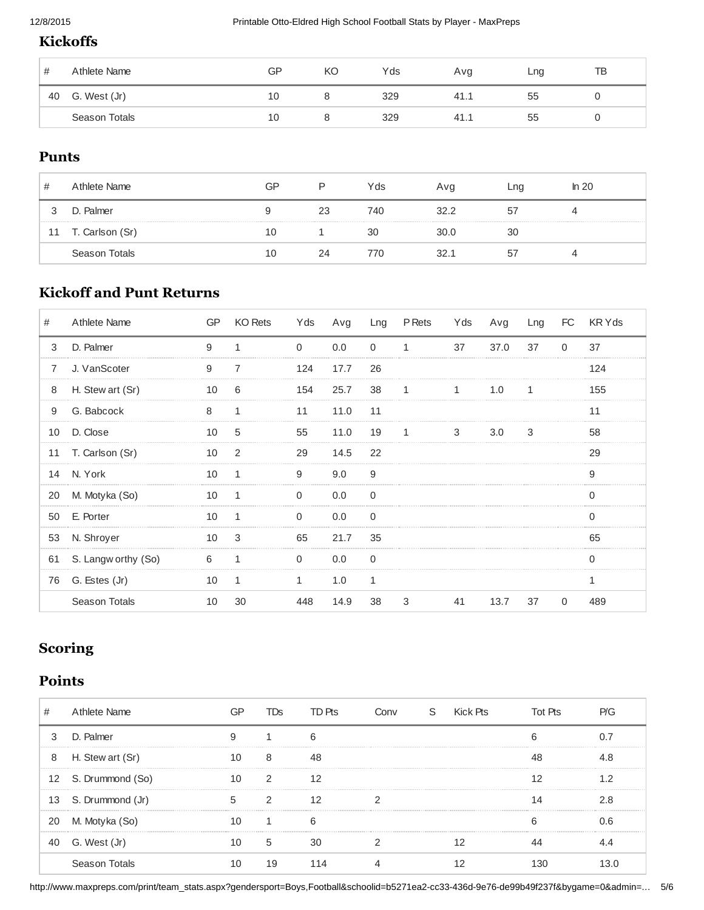### **Kickoffs**

| #  | Athlete Name  | GP | KO | Yds | Avg | Lng | ТB |
|----|---------------|----|----|-----|-----|-----|----|
| 40 | G. West (Jr)  | 10 |    | 329 | 41. | 55  |    |
|    | Season Totals | 10 |    | 329 | 41. | ხხ  |    |

#### **Punts**

| #  | Athlete Name    | GP | D  | Yds | Avg  | Lng | ln 20 |
|----|-----------------|----|----|-----|------|-----|-------|
|    | D. Palmer       | 9  | 23 | 740 | 32.2 | 57  | 4     |
| 11 | T. Carlson (Sr) | 10 |    | 30  | 30.0 | 30  |       |
|    | Season Totals   | 10 | 24 | 770 | 32.1 | 57  | ≖     |

### **Kickoff and Punt Returns**

| #  | Athlete Name         | <b>GP</b> | KO Rets      | Yds                | Avg  |              | Lng P Rets   | Yds       | Avg  | Lng | <b>FC</b> | KR Y ds |
|----|----------------------|-----------|--------------|--------------------|------|--------------|--------------|-----------|------|-----|-----------|---------|
| 3  | D. Palmer            | 9         | 1            | $\Omega$           | 0.0  | $\Omega$     | $\mathbf{1}$ | 37        | 37.0 | 37  | $\Omega$  | 37      |
| 7  | J. VanScoter         | 9         |              | 124<br>----------- | 17.7 | 26           |              |           |      |     |           | 124     |
| 8  | H. Stew art (Sr)     | 10        | 6            | 154                | 25.7 | 38           |              |           | 1.0  |     |           | 155     |
| 9  | G. Babcock           | 8         | 1            | 11                 | 11.0 | 11           |              |           |      |     |           | 11      |
| 10 | D. Close             | 10        | 5            | 55                 | 11.0 | 19           | 1            | $3 \t3.0$ |      | 3   |           | 58      |
| 11 | T. Carlson (Sr)      | 10        | 2            | 29                 | 14.5 | 22           |              |           |      |     |           | 29      |
| 14 | N. York              | 10        | 1            | 9                  | 9.0  | 9            |              |           |      |     |           | q       |
| 20 | M. Motyka (So)       | 10        | 1            | 0                  | 0.0  | <sup>0</sup> |              |           |      |     |           |         |
| 50 | E. Porter            | 10        |              | U                  | 0.0  | $\Omega$     |              |           |      |     |           |         |
| 53 | N. Shroyer           | 10        | 3            | 65                 | 21.7 | 35           |              |           |      |     |           | 65      |
| 61 | S. Langw orthy (So)  | 6         | 1            | 0                  | 0.0  | 0            |              |           |      |     |           |         |
| 76 | G. Estes (Jr)        | 10        | $\mathbf{1}$ |                    | 1.0  | 1            |              |           |      |     |           |         |
|    | <b>Season Totals</b> | 10        | 30           | 448                | 14.9 | 38           | 3            | 41        | 13.7 | 37  | $\Omega$  | 489     |

### **Scoring**

### **Points**

| #  | Athlete Name        |    | TDS.                    | TD Pts | Conv S Kick Pts |  | Tot Pts |     |
|----|---------------------|----|-------------------------|--------|-----------------|--|---------|-----|
| 3  | D. Palmer           | 9  |                         |        |                 |  |         |     |
| 8  | H. Stew art (Sr)    | 10 | 8                       | 48     |                 |  |         |     |
|    | 12 S. Drummond (So) | 10 | $\overline{\mathbf{c}}$ |        |                 |  |         |     |
|    | 13 S. Drummond (Jr) | 5. | $\mathcal{P}$           |        |                 |  |         | 2.8 |
| 20 | M. Motyka (So)      | 10 |                         |        |                 |  |         | በ 6 |
|    | 40 G. West (Jr)     | 10 | 5                       | -30    |                 |  |         |     |
|    | Season Totals       |    | 19                      |        |                 |  |         |     |

http://www.maxpreps.com/print/team\_stats.aspx?gendersport=Boys,Football&schoolid=b5271ea2-cc33-436d-9e76-de99b49f237f&bygame=0&admin=... 5/6